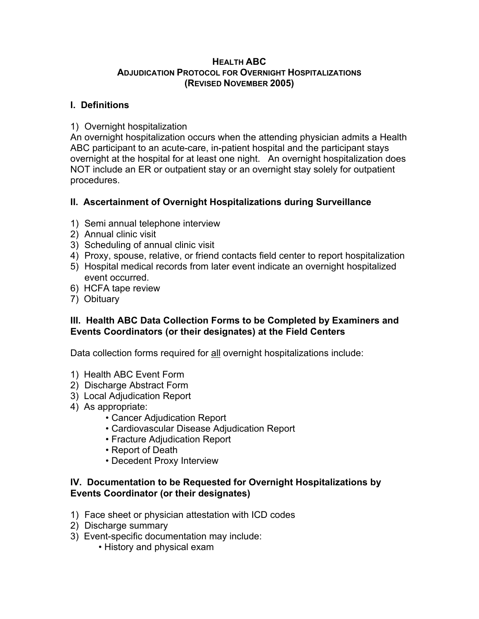#### **HEALTH ABC ADJUDICATION PROTOCOL FOR OVERNIGHT HOSPITALIZATIONS (REVISED NOVEMBER 2005)**

#### **I. Definitions**

## 1) Overnight hospitalization

An overnight hospitalization occurs when the attending physician admits a Health ABC participant to an acute-care, in-patient hospital and the participant stays overnight at the hospital for at least one night. An overnight hospitalization does NOT include an ER or outpatient stay or an overnight stay solely for outpatient procedures.

# **II. Ascertainment of Overnight Hospitalizations during Surveillance**

- 1) Semi annual telephone interview
- 2) Annual clinic visit
- 3) Scheduling of annual clinic visit
- 4) Proxy, spouse, relative, or friend contacts field center to report hospitalization
- 5) Hospital medical records from later event indicate an overnight hospitalized event occurred.
- 6) HCFA tape review
- 7) Obituary

## **III. Health ABC Data Collection Forms to be Completed by Examiners and Events Coordinators (or their designates) at the Field Centers**

Data collection forms required for all overnight hospitalizations include:

- 1) Health ABC Event Form
- 2) Discharge Abstract Form
- 3) Local Adjudication Report
- 4) As appropriate:
	- Cancer Adjudication Report
	- Cardiovascular Disease Adjudication Report
	- Fracture Adjudication Report
	- Report of Death
	- Decedent Proxy Interview

#### **IV. Documentation to be Requested for Overnight Hospitalizations by Events Coordinator (or their designates)**

- 1) Face sheet or physician attestation with ICD codes
- 2) Discharge summary
- 3) Event-specific documentation may include:
	- History and physical exam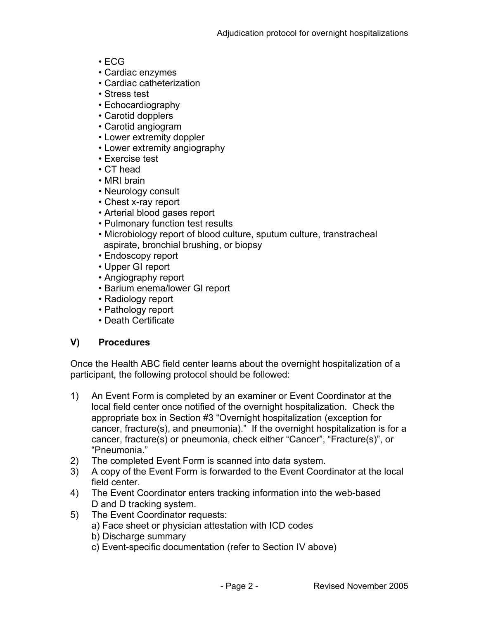- ECG
- Cardiac enzymes
- Cardiac catheterization
- Stress test
- Echocardiography
- Carotid dopplers
- Carotid angiogram
- Lower extremity doppler
- Lower extremity angiography
- Exercise test
- CT head
- MRI brain
- Neurology consult
- Chest x-ray report
- Arterial blood gases report
- Pulmonary function test results
- Microbiology report of blood culture, sputum culture, transtracheal aspirate, bronchial brushing, or biopsy
- Endoscopy report
- Upper GI report
- Angiography report
- Barium enema/lower GI report
- Radiology report
- Pathology report
- Death Certificate

# **V) Procedures**

Once the Health ABC field center learns about the overnight hospitalization of a participant, the following protocol should be followed:

- 1) An Event Form is completed by an examiner or Event Coordinator at the local field center once notified of the overnight hospitalization. Check the appropriate box in Section #3 "Overnight hospitalization (exception for cancer, fracture(s), and pneumonia)." If the overnight hospitalization is for a cancer, fracture(s) or pneumonia, check either "Cancer", "Fracture(s)", or "Pneumonia."
- 2) The completed Event Form is scanned into data system.
- 3) A copy of the Event Form is forwarded to the Event Coordinator at the local field center.
- 4) The Event Coordinator enters tracking information into the web-based D and D tracking system.
- 5) The Event Coordinator requests:
	- a) Face sheet or physician attestation with ICD codes
		- b) Discharge summary
		- c) Event-specific documentation (refer to Section IV above)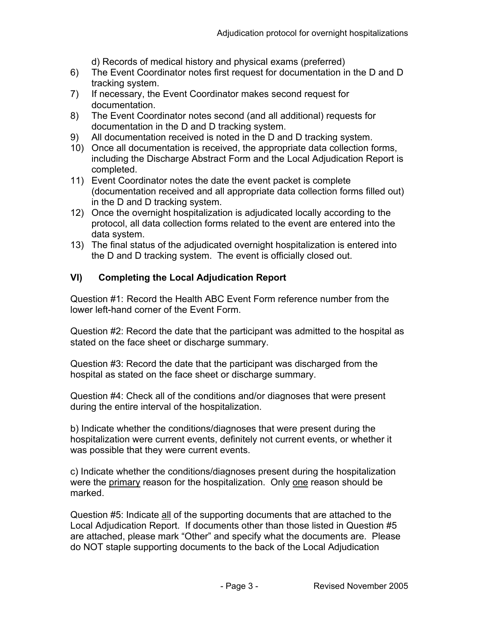d) Records of medical history and physical exams (preferred)

- 6) The Event Coordinator notes first request for documentation in the D and D tracking system.
- 7) If necessary, the Event Coordinator makes second request for documentation.
- 8) The Event Coordinator notes second (and all additional) requests for documentation in the D and D tracking system.
- 9) All documentation received is noted in the D and D tracking system.
- 10) Once all documentation is received, the appropriate data collection forms, including the Discharge Abstract Form and the Local Adjudication Report is completed.
- 11) Event Coordinator notes the date the event packet is complete (documentation received and all appropriate data collection forms filled out) in the D and D tracking system.
- 12) Once the overnight hospitalization is adjudicated locally according to the protocol, all data collection forms related to the event are entered into the data system.
- 13) The final status of the adjudicated overnight hospitalization is entered into the D and D tracking system. The event is officially closed out.

# **VI) Completing the Local Adjudication Report**

Question #1: Record the Health ABC Event Form reference number from the lower left-hand corner of the Event Form.

Question #2: Record the date that the participant was admitted to the hospital as stated on the face sheet or discharge summary.

Question #3: Record the date that the participant was discharged from the hospital as stated on the face sheet or discharge summary.

Question #4: Check all of the conditions and/or diagnoses that were present during the entire interval of the hospitalization.

b) Indicate whether the conditions/diagnoses that were present during the hospitalization were current events, definitely not current events, or whether it was possible that they were current events.

c) Indicate whether the conditions/diagnoses present during the hospitalization were the primary reason for the hospitalization. Only one reason should be marked.

Question #5: Indicate all of the supporting documents that are attached to the Local Adjudication Report. If documents other than those listed in Question #5 are attached, please mark "Other" and specify what the documents are. Please do NOT staple supporting documents to the back of the Local Adjudication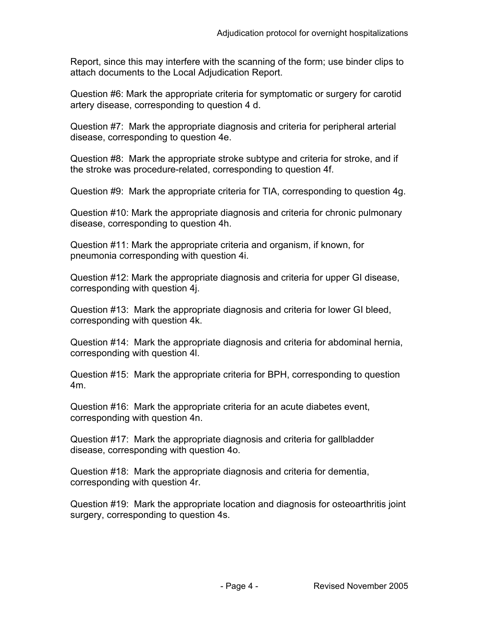Report, since this may interfere with the scanning of the form; use binder clips to attach documents to the Local Adjudication Report.

Question #6: Mark the appropriate criteria for symptomatic or surgery for carotid artery disease, corresponding to question 4 d.

Question #7: Mark the appropriate diagnosis and criteria for peripheral arterial disease, corresponding to question 4e.

Question #8: Mark the appropriate stroke subtype and criteria for stroke, and if the stroke was procedure-related, corresponding to question 4f.

Question #9: Mark the appropriate criteria for TIA, corresponding to question 4g.

Question #10: Mark the appropriate diagnosis and criteria for chronic pulmonary disease, corresponding to question 4h.

Question #11: Mark the appropriate criteria and organism, if known, for pneumonia corresponding with question 4i.

Question #12: Mark the appropriate diagnosis and criteria for upper GI disease, corresponding with question 4j.

Question #13: Mark the appropriate diagnosis and criteria for lower GI bleed, corresponding with question 4k.

Question #14: Mark the appropriate diagnosis and criteria for abdominal hernia, corresponding with question 4l.

Question #15: Mark the appropriate criteria for BPH, corresponding to question 4m.

Question #16: Mark the appropriate criteria for an acute diabetes event, corresponding with question 4n.

Question #17: Mark the appropriate diagnosis and criteria for gallbladder disease, corresponding with question 4o.

Question #18: Mark the appropriate diagnosis and criteria for dementia, corresponding with question 4r.

Question #19: Mark the appropriate location and diagnosis for osteoarthritis joint surgery, corresponding to question 4s.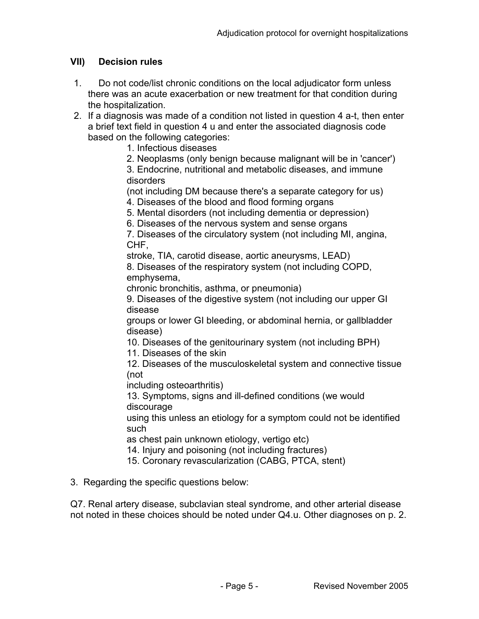# **VII) Decision rules**

- 1. Do not code/list chronic conditions on the local adjudicator form unless there was an acute exacerbation or new treatment for that condition during the hospitalization.
- 2. If a diagnosis was made of a condition not listed in question 4 a-t, then enter a brief text field in question 4 u and enter the associated diagnosis code based on the following categories:
	- 1. Infectious diseases
	- 2. Neoplasms (only benign because malignant will be in 'cancer')

3. Endocrine, nutritional and metabolic diseases, and immune disorders

(not including DM because there's a separate category for us) 4. Diseases of the blood and flood forming organs

- 5. Mental disorders (not including dementia or depression)
- 6. Diseases of the nervous system and sense organs

7. Diseases of the circulatory system (not including MI, angina, CHF,

stroke, TIA, carotid disease, aortic aneurysms, LEAD)

8. Diseases of the respiratory system (not including COPD, emphysema,

chronic bronchitis, asthma, or pneumonia)

9. Diseases of the digestive system (not including our upper GI disease

groups or lower GI bleeding, or abdominal hernia, or gallbladder disease)

10. Diseases of the genitourinary system (not including BPH)

11. Diseases of the skin

12. Diseases of the musculoskeletal system and connective tissue (not

including osteoarthritis)

13. Symptoms, signs and ill-defined conditions (we would discourage

using this unless an etiology for a symptom could not be identified such

as chest pain unknown etiology, vertigo etc)

14. Injury and poisoning (not including fractures)

15. Coronary revascularization (CABG, PTCA, stent)

3. Regarding the specific questions below:

Q7. Renal artery disease, subclavian steal syndrome, and other arterial disease not noted in these choices should be noted under Q4.u. Other diagnoses on p. 2.